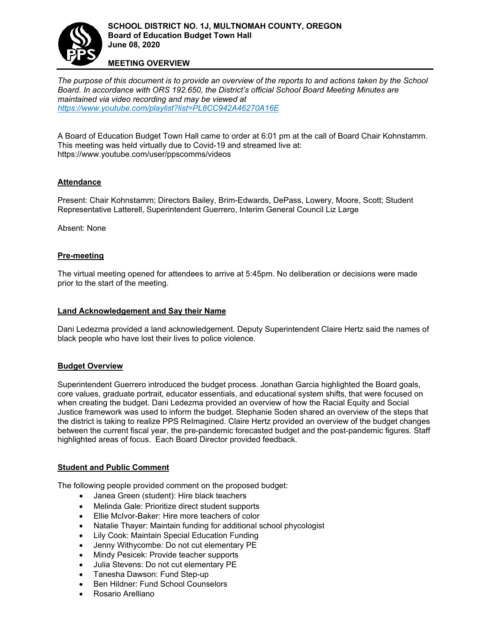

#### **MEETING OVERVIEW**

*The purpose of this document is to provide an overview of the reports to and actions taken by the School Board. In accordance with ORS 192.650, the District['s official School Board Meeting Minutes are](https://www.youtube.com/playlist?list=PL8CC942A46270A16E)  maintained via video recording and may be viewed at <https://www.youtube.com/playlist?list=PL8CC942A46270A16E>*

A Board of Education Budget Town Hall came to order at 6:01 pm at the call of Board Chair Kohnstamm. This meeting was held virtually due to Covid-19 and streamed live at: https://www.youtube.com/user/ppscomms/videos

## **Attendance**

Present: Chair Kohnstamm; Directors Bailey, Brim-Edwards, DePass, Lowery, Moore, Scott; Student Representative Latterell, Superintendent Guerrero, Interim General Council Liz Large

Absent: None

### **Pre-meeting**

The virtual meeting opened for attendees to arrive at 5:45pm. No deliberation or decisions were made prior to the start of the meeting.

#### **Land Acknowledgement and Say their Name**

Dani Ledezma provided a land acknowledgement. Deputy Superintendent Claire Hertz said the names of black people who have lost their lives to police violence.

#### **Budget Overview**

Superintendent Guerrero introduced the budget process. Jonathan Garcia highlighted the Board goals, core values, graduate portrait, educator essentials, and educational system shifts, that were focused on when creating the budget. Dani Ledezma provided an overview of how the Racial Equity and Social Justice framework was used to inform the budget. Stephanie Soden shared an overview of the steps that the district is taking to realize PPS ReImagined. Claire Hertz provided an overview of the budget changes between the current fiscal year, the pre-pandemic forecasted budget and the post-pandemic figures. Staff highlighted areas of focus. Each Board Director provided feedback.

#### **Student and Public Comment**

The following people provided comment on the proposed budget:

- Janea Green (student): Hire black teachers
- Melinda Gale: Prioritize direct student supports
- Ellie McIvor-Baker: Hire more teachers of color
- Natalie Thayer: Maintain funding for additional school phycologist
- Lily Cook: Maintain Special Education Funding
- Jenny Withycombe: Do not cut elementary PE
- Mindy Pesicek: Provide teacher supports
- Julia Stevens: Do not cut elementary PE
- Tanesha Dawson: Fund Step-up
- Ben Hildner: Fund School Counselors
- Rosario Arelliano